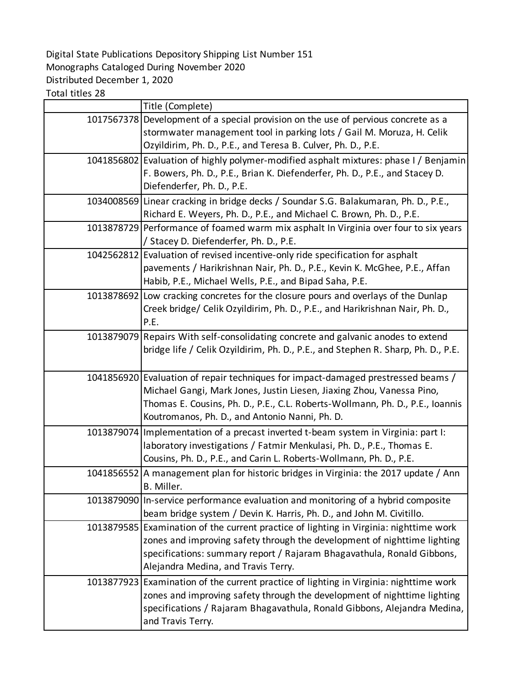## Digital State Publications Depository Shipping List Number 151 Monographs Cataloged During November 2020 Distributed December 1, 2020

Total titles 28

| Title (Complete)                                                                                                                                                                                                                                                                              |
|-----------------------------------------------------------------------------------------------------------------------------------------------------------------------------------------------------------------------------------------------------------------------------------------------|
| 1017567378 Development of a special provision on the use of pervious concrete as a<br>stormwater management tool in parking lots / Gail M. Moruza, H. Celik<br>Ozyildirim, Ph. D., P.E., and Teresa B. Culver, Ph. D., P.E.                                                                   |
| 1041856802 Evaluation of highly polymer-modified asphalt mixtures: phase I / Benjamin<br>F. Bowers, Ph. D., P.E., Brian K. Diefenderfer, Ph. D., P.E., and Stacey D.<br>Diefenderfer, Ph. D., P.E.                                                                                            |
| 1034008569 Linear cracking in bridge decks / Soundar S.G. Balakumaran, Ph. D., P.E.,<br>Richard E. Weyers, Ph. D., P.E., and Michael C. Brown, Ph. D., P.E.                                                                                                                                   |
| 1013878729 Performance of foamed warm mix asphalt In Virginia over four to six years<br>/ Stacey D. Diefenderfer, Ph. D., P.E.                                                                                                                                                                |
| 1042562812 Evaluation of revised incentive-only ride specification for asphalt<br>pavements / Harikrishnan Nair, Ph. D., P.E., Kevin K. McGhee, P.E., Affan<br>Habib, P.E., Michael Wells, P.E., and Bipad Saha, P.E.                                                                         |
| 1013878692 Low cracking concretes for the closure pours and overlays of the Dunlap<br>Creek bridge/ Celik Ozyildirim, Ph. D., P.E., and Harikrishnan Nair, Ph. D.,<br>P.E.                                                                                                                    |
| 1013879079 Repairs With self-consolidating concrete and galvanic anodes to extend<br>bridge life / Celik Ozyildirim, Ph. D., P.E., and Stephen R. Sharp, Ph. D., P.E.                                                                                                                         |
| 1041856920 Evaluation of repair techniques for impact-damaged prestressed beams /<br>Michael Gangi, Mark Jones, Justin Liesen, Jiaxing Zhou, Vanessa Pino,<br>Thomas E. Cousins, Ph. D., P.E., C.L. Roberts-Wollmann, Ph. D., P.E., Ioannis<br>Koutromanos, Ph. D., and Antonio Nanni, Ph. D. |
| 1013879074 Implementation of a precast inverted t-beam system in Virginia: part I:<br>laboratory investigations / Fatmir Menkulasi, Ph. D., P.E., Thomas E.<br>Cousins, Ph. D., P.E., and Carin L. Roberts-Wollmann, Ph. D., P.E.                                                             |
| 1041856552 A management plan for historic bridges in Virginia: the 2017 update / Ann<br>B. Miller.                                                                                                                                                                                            |
| 1013879090 In-service performance evaluation and monitoring of a hybrid composite<br>beam bridge system / Devin K. Harris, Ph. D., and John M. Civitillo.                                                                                                                                     |
| 1013879585 Examination of the current practice of lighting in Virginia: nighttime work<br>zones and improving safety through the development of nighttime lighting<br>specifications: summary report / Rajaram Bhagavathula, Ronald Gibbons,<br>Alejandra Medina, and Travis Terry.           |
| 1013877923 Examination of the current practice of lighting in Virginia: nighttime work<br>zones and improving safety through the development of nighttime lighting<br>specifications / Rajaram Bhagavathula, Ronald Gibbons, Alejandra Medina,<br>and Travis Terry.                           |